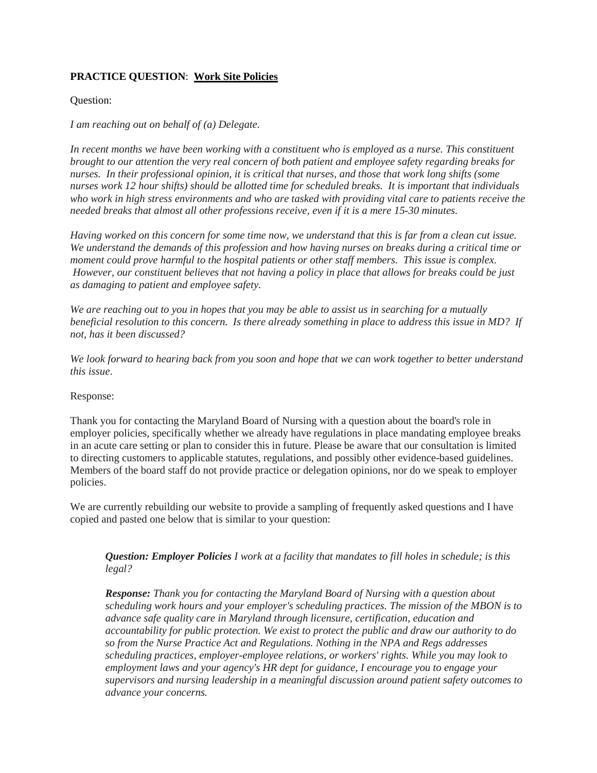# **PRACTICE QUESTION**: **Work Site Policies**

### Question:

### *I am reaching out on behalf of (a) Delegate.*

In recent months we have been working with a constituent who is employed as a nurse. This constituent *brought to our attention the very real concern of both patient and employee safety regarding breaks for nurses. In their professional opinion, it is critical that nurses, and those that work long shifts (some nurses work 12 hour shifts) should be allotted time for scheduled breaks. It is important that individuals who work in high stress environments and who are tasked with providing vital care to patients receive the needed breaks that almost all other professions receive, even if it is a mere 15-30 minutes.*

*Having worked on this concern for some time now, we understand that this is far from a clean cut issue. We understand the demands of this profession and how having nurses on breaks during a critical time or moment could prove harmful to the hospital patients or other staff members. This issue is complex. However, our constituent believes that not having a policy in place that allows for breaks could be just as damaging to patient and employee safety.*

*We are reaching out to you in hopes that you may be able to assist us in searching for a mutually beneficial resolution to this concern. Is there already something in place to address this issue in MD? If not, has it been discussed?* 

*We look forward to hearing back from you soon and hope that we can work together to better understand this issue*.

#### Response:

Thank you for contacting the Maryland Board of Nursing with a question about the board's role in employer policies, specifically whether we already have regulations in place mandating employee breaks in an acute care setting or plan to consider this in future. Please be aware that our consultation is limited to directing customers to applicable statutes, regulations, and possibly other evidence-based guidelines. Members of the board staff do not provide practice or delegation opinions, nor do we speak to employer policies.

We are currently rebuilding our website to provide a sampling of frequently asked questions and I have copied and pasted one below that is similar to your question:

## *Question: Employer Policies I work at a facility that mandates to fill holes in schedule; is this legal?*

*Response: Thank you for contacting the Maryland Board of Nursing with a question about scheduling work hours and your employer's scheduling practices. The mission of the MBON is to advance safe quality care in Maryland through licensure, certification, education and accountability for public protection. We exist to protect the public and draw our authority to do so from the Nurse Practice Act and Regulations. Nothing in the NPA and Regs addresses scheduling practices, employer-employee relations, or workers' rights. While you may look to employment laws and your agency's HR dept for guidance, I encourage you to engage your supervisors and nursing leadership in a meaningful discussion around patient safety outcomes to advance your concerns.*